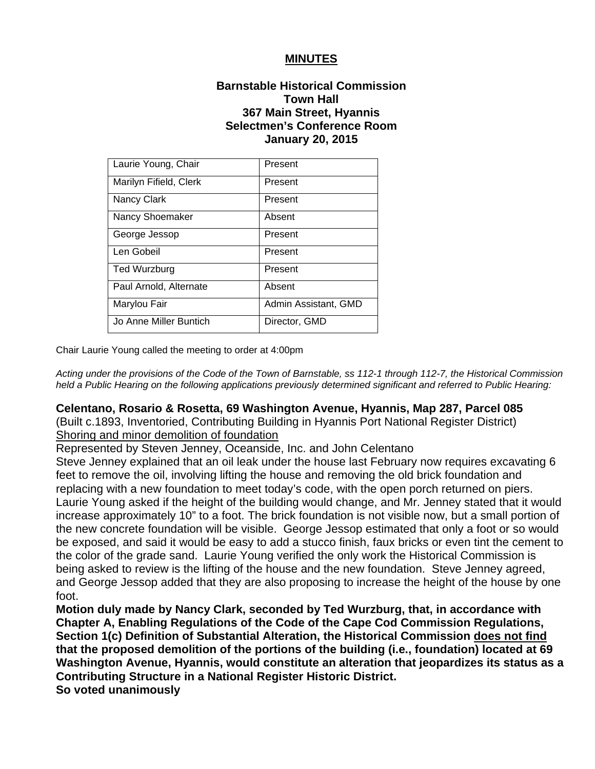### **MINUTES**

## **Barnstable Historical Commission Town Hall 367 Main Street, Hyannis Selectmen's Conference Room January 20, 2015**

| Laurie Young, Chair    | Present              |
|------------------------|----------------------|
| Marilyn Fifield, Clerk | Present              |
| Nancy Clark            | Present              |
| Nancy Shoemaker        | Absent               |
| George Jessop          | Present              |
| Len Gobeil             | Present              |
| <b>Ted Wurzburg</b>    | Present              |
| Paul Arnold, Alternate | Absent               |
| Marylou Fair           | Admin Assistant, GMD |
| Jo Anne Miller Buntich | Director, GMD        |

Chair Laurie Young called the meeting to order at 4:00pm

*Acting under the provisions of the Code of the Town of Barnstable, ss 112-1 through 112-7, the Historical Commission held a Public Hearing on the following applications previously determined significant and referred to Public Hearing:*

#### **Celentano, Rosario & Rosetta, 69 Washington Avenue, Hyannis, Map 287, Parcel 085**

(Built c.1893, Inventoried, Contributing Building in Hyannis Port National Register District) Shoring and minor demolition of foundation

Represented by Steven Jenney, Oceanside, Inc. and John Celentano

Steve Jenney explained that an oil leak under the house last February now requires excavating 6 feet to remove the oil, involving lifting the house and removing the old brick foundation and replacing with a new foundation to meet today's code, with the open porch returned on piers. Laurie Young asked if the height of the building would change, and Mr. Jenney stated that it would increase approximately 10" to a foot. The brick foundation is not visible now, but a small portion of the new concrete foundation will be visible. George Jessop estimated that only a foot or so would be exposed, and said it would be easy to add a stucco finish, faux bricks or even tint the cement to the color of the grade sand. Laurie Young verified the only work the Historical Commission is being asked to review is the lifting of the house and the new foundation. Steve Jenney agreed, and George Jessop added that they are also proposing to increase the height of the house by one foot.

**Motion duly made by Nancy Clark, seconded by Ted Wurzburg, that, in accordance with Chapter A, Enabling Regulations of the Code of the Cape Cod Commission Regulations, Section 1(c) Definition of Substantial Alteration, the Historical Commission does not find that the proposed demolition of the portions of the building (i.e., foundation) located at 69 Washington Avenue, Hyannis, would constitute an alteration that jeopardizes its status as a Contributing Structure in a National Register Historic District.** 

**So voted unanimously**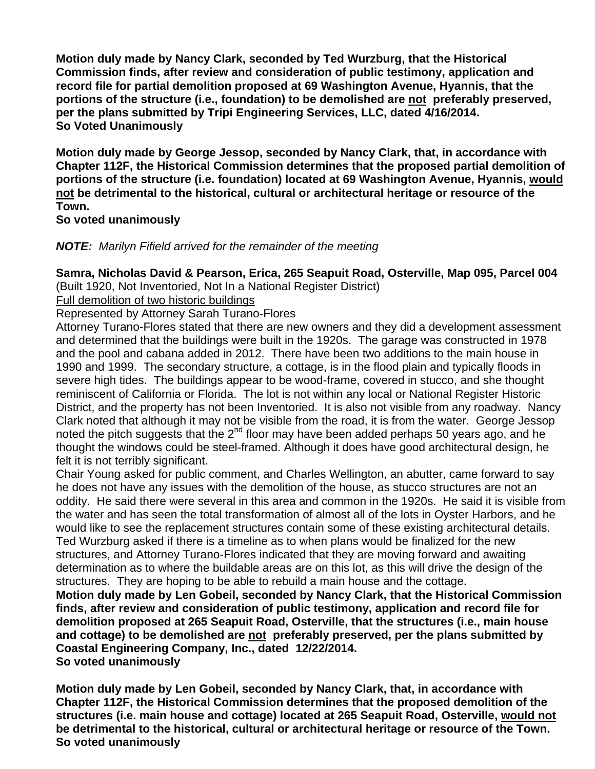**Motion duly made by Nancy Clark, seconded by Ted Wurzburg, that the Historical Commission finds, after review and consideration of public testimony, application and record file for partial demolition proposed at 69 Washington Avenue, Hyannis, that the portions of the structure (i.e., foundation) to be demolished are not preferably preserved, per the plans submitted by Tripi Engineering Services, LLC, dated 4/16/2014. So Voted Unanimously** 

**Motion duly made by George Jessop, seconded by Nancy Clark, that, in accordance with Chapter 112F, the Historical Commission determines that the proposed partial demolition of portions of the structure (i.e. foundation) located at 69 Washington Avenue, Hyannis, would not be detrimental to the historical, cultural or architectural heritage or resource of the Town.** 

**So voted unanimously** 

*NOTE: Marilyn Fifield arrived for the remainder of the meeting*

# **Samra, Nicholas David & Pearson, Erica, 265 Seapuit Road, Osterville, Map 095, Parcel 004**

(Built 1920, Not Inventoried, Not In a National Register District)

Full demolition of two historic buildings

Represented by Attorney Sarah Turano-Flores

Attorney Turano-Flores stated that there are new owners and they did a development assessment and determined that the buildings were built in the 1920s. The garage was constructed in 1978 and the pool and cabana added in 2012. There have been two additions to the main house in 1990 and 1999. The secondary structure, a cottage, is in the flood plain and typically floods in severe high tides. The buildings appear to be wood-frame, covered in stucco, and she thought reminiscent of California or Florida. The lot is not within any local or National Register Historic District, and the property has not been Inventoried. It is also not visible from any roadway. Nancy Clark noted that although it may not be visible from the road, it is from the water. George Jessop noted the pitch suggests that the  $2<sup>nd</sup>$  floor may have been added perhaps 50 years ago, and he thought the windows could be steel-framed. Although it does have good architectural design, he felt it is not terribly significant.

Chair Young asked for public comment, and Charles Wellington, an abutter, came forward to say he does not have any issues with the demolition of the house, as stucco structures are not an oddity. He said there were several in this area and common in the 1920s. He said it is visible from the water and has seen the total transformation of almost all of the lots in Oyster Harbors, and he would like to see the replacement structures contain some of these existing architectural details. Ted Wurzburg asked if there is a timeline as to when plans would be finalized for the new structures, and Attorney Turano-Flores indicated that they are moving forward and awaiting determination as to where the buildable areas are on this lot, as this will drive the design of the structures. They are hoping to be able to rebuild a main house and the cottage.

**Motion duly made by Len Gobeil, seconded by Nancy Clark, that the Historical Commission finds, after review and consideration of public testimony, application and record file for demolition proposed at 265 Seapuit Road, Osterville, that the structures (i.e., main house and cottage) to be demolished are not preferably preserved, per the plans submitted by Coastal Engineering Company, Inc., dated 12/22/2014.** 

**So voted unanimously** 

**Motion duly made by Len Gobeil, seconded by Nancy Clark, that, in accordance with Chapter 112F, the Historical Commission determines that the proposed demolition of the structures (i.e. main house and cottage) located at 265 Seapuit Road, Osterville, would not be detrimental to the historical, cultural or architectural heritage or resource of the Town. So voted unanimously**